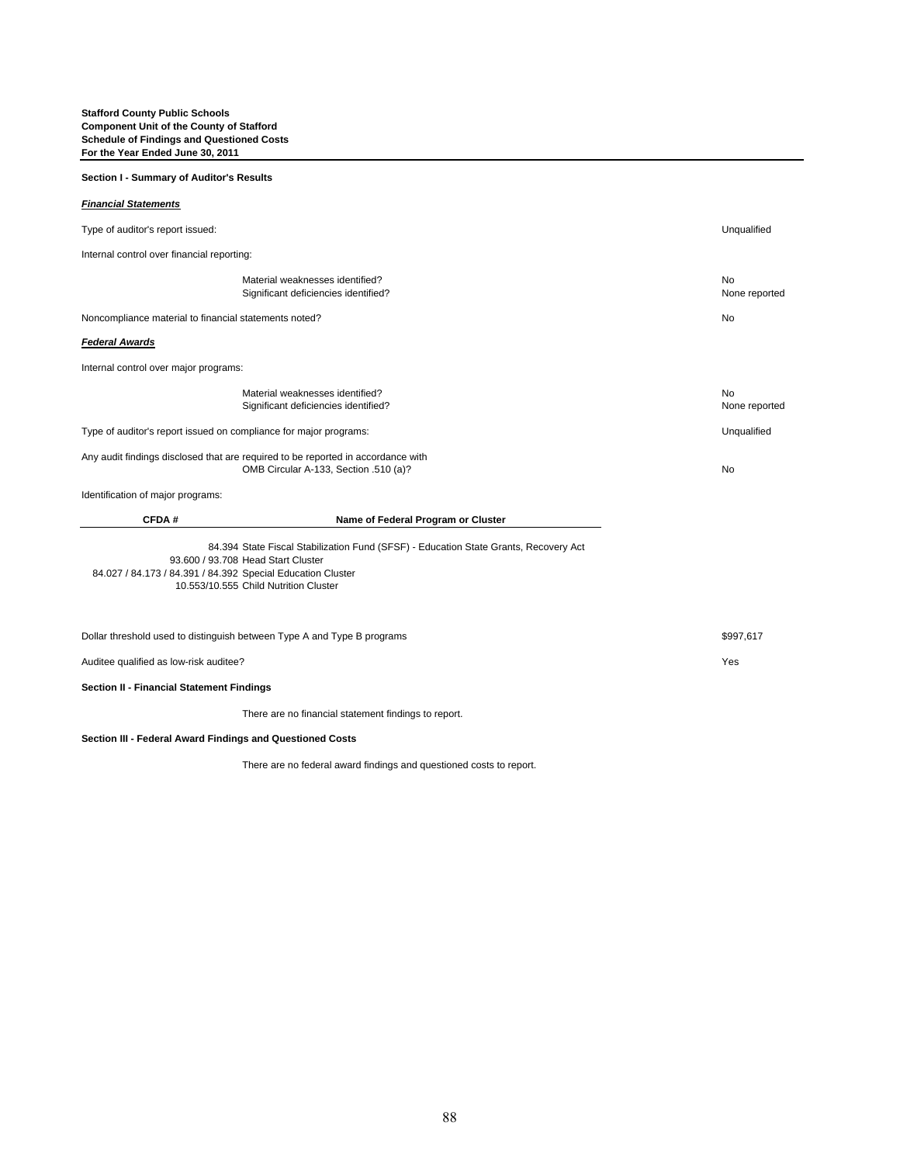## **Section I - Summary of Auditor's Results**

## *Financial Statements*

| Type of auditor's report issued:                                                                                                                                                                                                   |                                                                         | Unqualified         |
|------------------------------------------------------------------------------------------------------------------------------------------------------------------------------------------------------------------------------------|-------------------------------------------------------------------------|---------------------|
| Internal control over financial reporting:                                                                                                                                                                                         |                                                                         |                     |
|                                                                                                                                                                                                                                    | Material weaknesses identified?<br>Significant deficiencies identified? | No<br>None reported |
| Noncompliance material to financial statements noted?                                                                                                                                                                              |                                                                         | No                  |
| <b>Federal Awards</b>                                                                                                                                                                                                              |                                                                         |                     |
| Internal control over major programs:                                                                                                                                                                                              |                                                                         |                     |
|                                                                                                                                                                                                                                    | Material weaknesses identified?<br>Significant deficiencies identified? | No<br>None reported |
| Type of auditor's report issued on compliance for major programs:                                                                                                                                                                  |                                                                         | Unqualified         |
| Any audit findings disclosed that are required to be reported in accordance with<br>OMB Circular A-133, Section .510 (a)?                                                                                                          |                                                                         | <b>No</b>           |
| Identification of major programs:                                                                                                                                                                                                  |                                                                         |                     |
| CFDA#                                                                                                                                                                                                                              | Name of Federal Program or Cluster                                      |                     |
| 84.394 State Fiscal Stabilization Fund (SFSF) - Education State Grants, Recovery Act<br>93.600 / 93.708 Head Start Cluster<br>84.027 / 84.173 / 84.391 / 84.392 Special Education Cluster<br>10.553/10.555 Child Nutrition Cluster |                                                                         |                     |
| Dollar threshold used to distinguish between Type A and Type B programs                                                                                                                                                            |                                                                         | \$997,617           |
| Auditee qualified as low-risk auditee?                                                                                                                                                                                             |                                                                         | Yes                 |
| <b>Section II - Financial Statement Findings</b>                                                                                                                                                                                   |                                                                         |                     |
|                                                                                                                                                                                                                                    | There are no financial statement findings to report.                    |                     |

**Section III - Federal Award Findings and Questioned Costs**

There are no federal award findings and questioned costs to report.